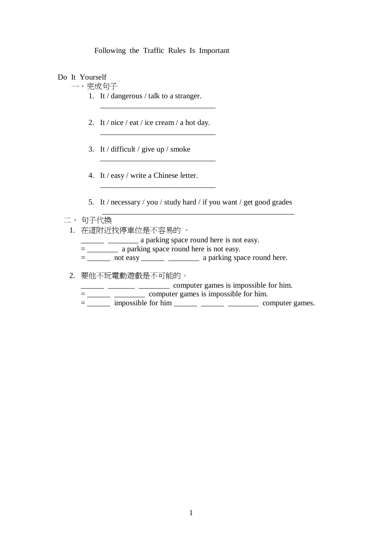Following the Traffic Rules Is Important

Do It Yourself

一、完成句子

- 1. It / dangerous / talk to a stranger.
- 2. It / nice / eat / ice cream / a hot day.

\_\_\_\_\_\_\_\_\_\_\_\_\_\_\_\_\_\_\_\_\_\_\_\_\_\_\_\_\_\_

\_\_\_\_\_\_\_\_\_\_\_\_\_\_\_\_\_\_\_\_\_\_\_\_\_\_\_\_\_\_

\_\_\_\_\_\_\_\_\_\_\_\_\_\_\_\_\_\_\_\_\_\_\_\_\_\_\_\_\_\_

\_\_\_\_\_\_\_\_\_\_\_\_\_\_\_\_\_\_\_\_\_\_\_\_\_\_\_\_\_\_

- 3. It / difficult / give up / smoke
- 4. It / easy / write a Chinese letter.

5. It / necessary / you / study hard / if you want / get good grades

#### 二、 句子代換

1. 在這附近找停車位是不容易的 。

**Example 2.1** a parking space round here is not easy.

\_\_\_\_\_\_\_\_\_\_\_\_\_\_\_\_\_\_\_\_\_\_\_\_\_\_\_\_\_\_\_\_\_\_\_\_\_\_\_\_\_\_\_\_\_\_\_\_\_\_

= \_\_\_\_\_\_\_\_\_\_\_ a parking space round here is not easy.

 $=$  \_\_\_\_\_\_\_ not easy \_\_\_\_\_\_\_\_ \_\_\_\_\_\_\_\_\_\_\_\_ a parking space round here.

2. 要他不玩電動遊戲是不可能的。

\_\_\_\_\_\_ \_\_\_\_\_\_\_ \_\_\_\_\_\_\_\_ computer games is impossible for him.

= \_\_\_\_\_\_ \_\_\_\_\_\_\_\_ computer games is impossible for him.

 $=\_\_\_\_\$ impossible for him  $\_\_\_\_\_\_\_\_\_\_\_\_\_\_\_\_\_\_\_$  computer games.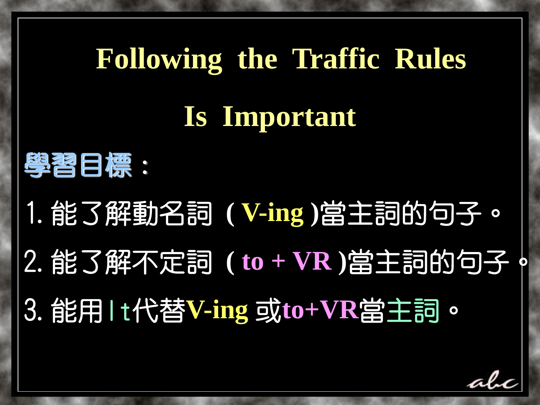# **Following the Traffic Rules Is Important**



1.能了解動名詞 **( V-ing )**當主詞的句子。 2.能了解不定詞 **( to + VR )**當主詞的句子。 3.能用It代替**V-ing** 或**to+VR**當主詞。

alı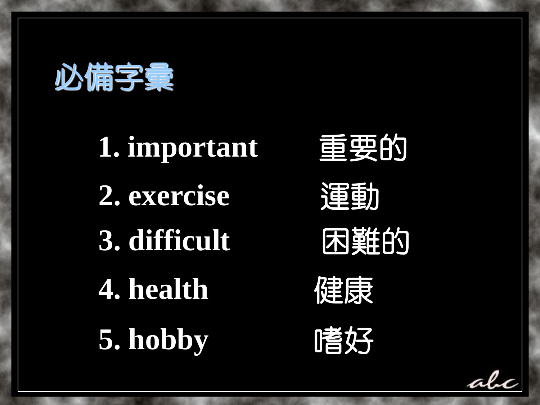











ala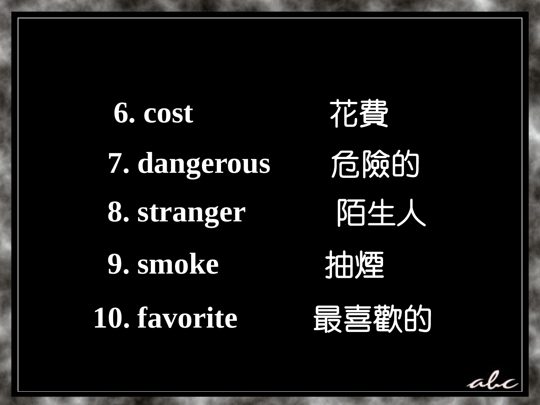

alc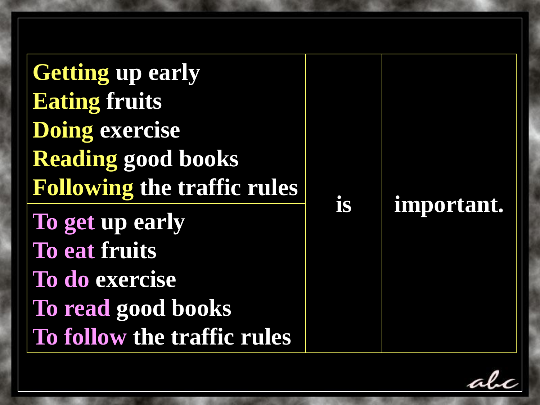alc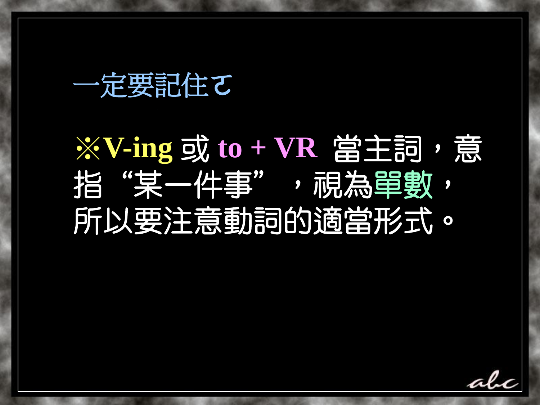一定要記住て

# ※**V-ing** 或 **to + VR** 當主詞,意 指"某一件事",視為單數, 所以要注意動詞的適當形式。

alı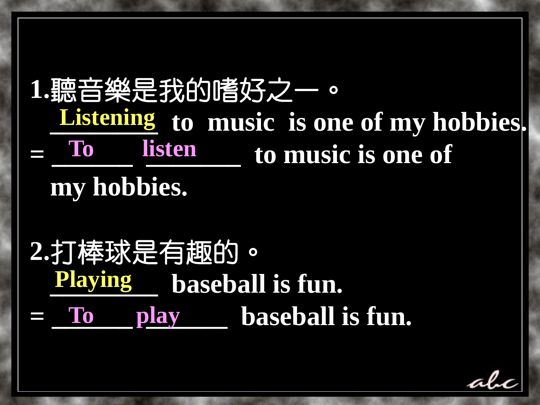**1.**聽音樂是我的嗜好之一。 **Listening** to music is one of my hobbies. **= \_\_\_\_\_\_ \_\_\_\_\_\_\_ to music is one of my hobbies. To listen**

**2.**打棒球是有趣的。 **Playing baseball is fun.**  $=$  To play baseball is fun.

aly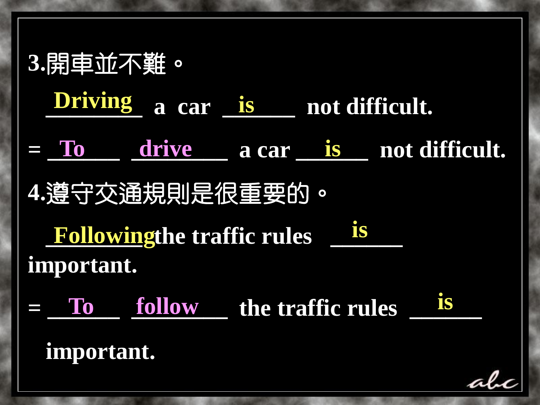**3.**開車並不難。 **Driving is Driving** a car <u>is</u> not difficult.  $=$  To drive a car is not difficult. **4.**遵守交通規則是很重要的。 **Followingthe traffic rules**  $\frac{$  **is important.**   $=$  To follow the traffic rules is  **important.** alı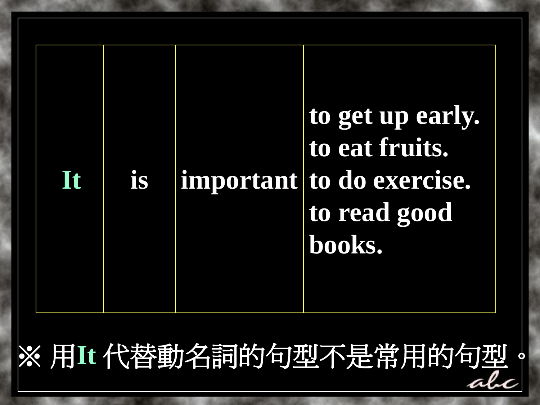

※ 用**It** 代替動名詞的句型不是常用的句型。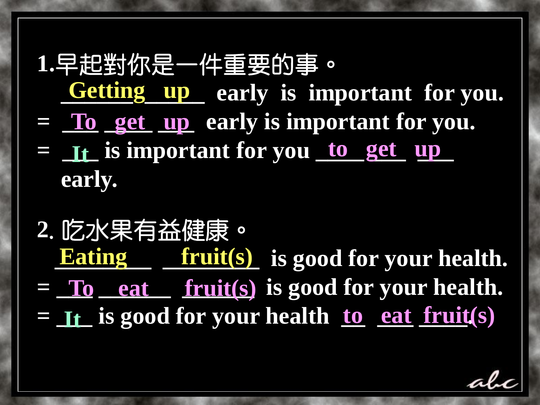#### **1.**早起對你是一件重要的事。 **Getting up early is important for you.**

- $=$  To get up early is important for you.
- $=$  **It** is important for you to get up  **early.**
- **2**.吃水果有益健康。 **Eating fruit(s)** is good for your health.  $=$  To eat fruit(s) is good for your health. **= <u>It</u> is good for your health <u>to eat fruit</u>(s)**

alı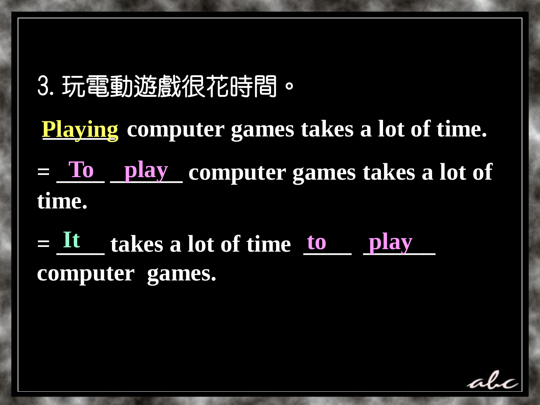### 3.玩電動遊戲很花時間。

Playing computer games takes a lot of time.  $=$  To play computer games takes a lot of **time.**

 $=$   $\frac{It}{ }$  takes a lot of time  $\frac{to}{ }$  play **computer games.**

ala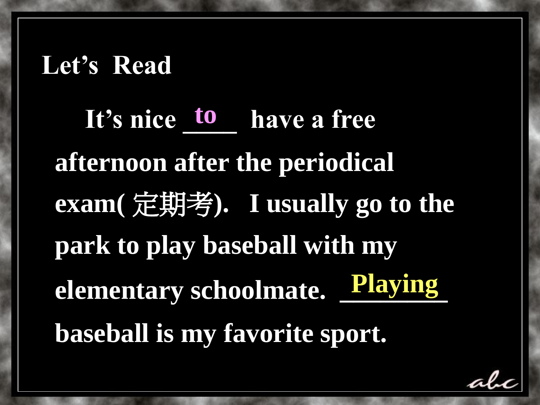#### **Let's Read**

*It's nice* **<b>***to* have a free **afternoon after the periodical exam(** 定期考**). I usually go to the park to play baseball with my**  elementary schoolmate. Playing **baseball is my favorite sport. Playing** 

ala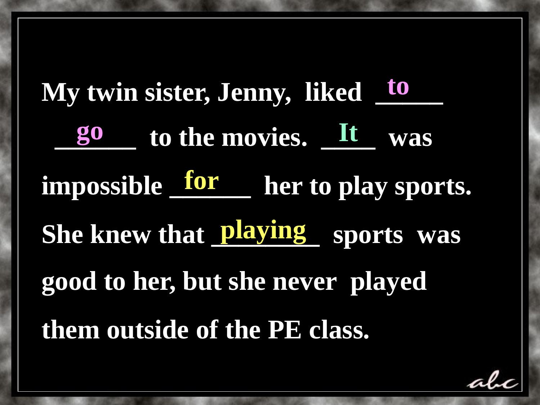**My twin sister, Jenny, liked**  $\frac{10}{2}$  **go to the movies. It was** impossible <u>for</u> her to play sports. She knew that **playing** sports was **good to her, but she never played them outside of the PE class. to**

alı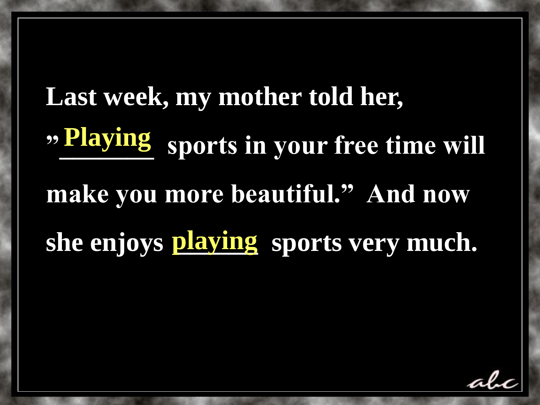# **Last week, my mother told her, " Playing** sports in your free time will **make you more beautiful." And now**  she enjoys playing sports very much. **Playing**

alı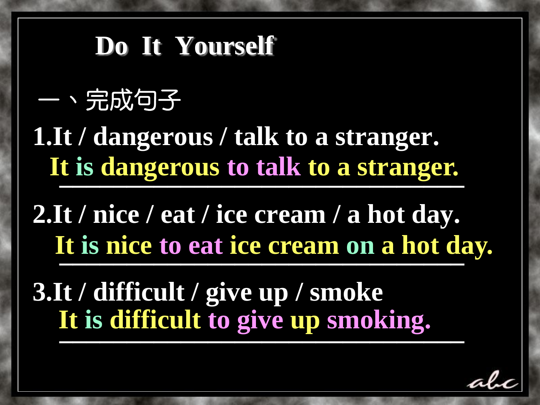### **Do It Yourself**

## 一、完成句子

**1.It / dangerous / talk to a stranger. 1 Let us dangerous to talk to a stranger. It is dangerous to talk to a stranger.**

**2.It / nice / eat / ice cream / a hot day. Example 15 nice to eat ice cream on a hot da It is nice to eat ice cream on a hot day.**

**3.It / difficult / give up / smoke \_\_\_\_\_\_\_\_\_\_\_\_\_\_\_\_\_\_\_\_\_\_\_\_\_\_\_\_\_\_ It is difficult to give up smoking.**

ala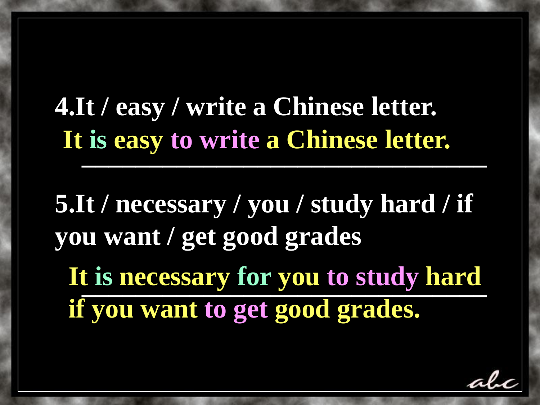**4.It / easy / write a Chinese letter. TUD CASY TO WEITE A CHARGE RETTLE. It is easy to write a Chinese letter.** 

**5.It / necessary / you / study hard / if you want / get good grades**  It is necessary for you to study hard **It is necessary for you to study hard if you want to get good grades.** 

ali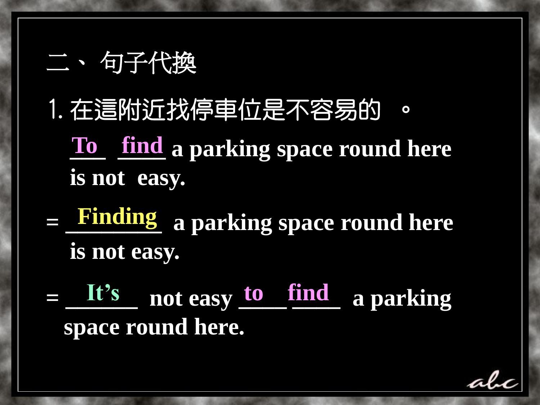#### 二、 句子代換

- 1.在這附近找停車位是不容易的 。 **To** find a parking space round here  **is not easy.**
- $=$  **Finding** a parking space round here  **is not easy. Finding**
- $=$  It's not easy to find a parking  **space round here.**

ala